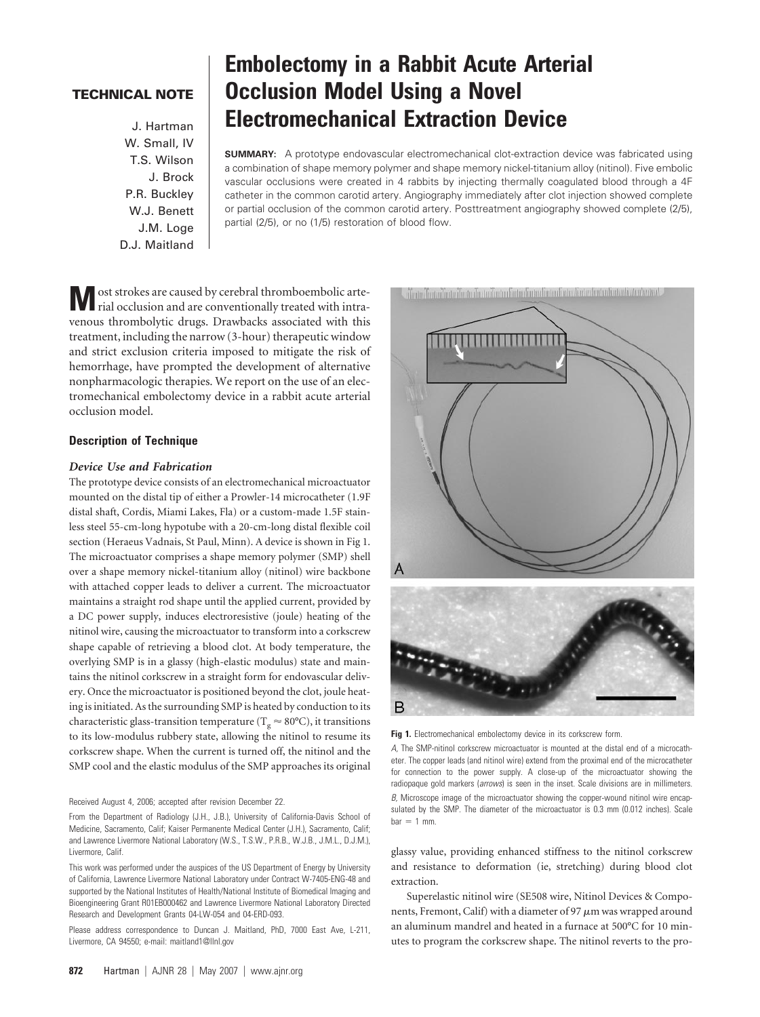# **TECHNICAL NOTE**

W. Small, IV T.S. Wilson J. Brock P.R. Buckley W.J. Benett J.M. Loge D.J. Maitland

# **Embolectomy in a Rabbit Acute Arterial Occlusion Model Using a Novel** J. Hartman **Electromechanical Extraction Device**

**SUMMARY:** A prototype endovascular electromechanical clot-extraction device was fabricated using a combination of shape memory polymer and shape memory nickel-titanium alloy (nitinol). Five embolic vascular occlusions were created in 4 rabbits by injecting thermally coagulated blood through a 4F catheter in the common carotid artery. Angiography immediately after clot injection showed complete or partial occlusion of the common carotid artery. Posttreatment angiography showed complete (2/5), partial (2/5), or no (1/5) restoration of blood flow.

**M** ost strokes are caused by cerebral thromboembolic arte-<br>rial occlusion and are conventionally treated with intravenous thrombolytic drugs. Drawbacks associated with this treatment, including the narrow (3-hour) therapeutic window and strict exclusion criteria imposed to mitigate the risk of hemorrhage, have prompted the development of alternative nonpharmacologic therapies. We report on the use of an electromechanical embolectomy device in a rabbit acute arterial occlusion model.

## **Description of Technique**

#### *Device Use and Fabrication*

The prototype device consists of an electromechanical microactuator mounted on the distal tip of either a Prowler-14 microcatheter (1.9F distal shaft, Cordis, Miami Lakes, Fla) or a custom-made 1.5F stainless steel 55-cm-long hypotube with a 20-cm-long distal flexible coil section (Heraeus Vadnais, St Paul, Minn). A device is shown in Fig 1. The microactuator comprises a shape memory polymer (SMP) shell over a shape memory nickel-titanium alloy (nitinol) wire backbone with attached copper leads to deliver a current. The microactuator maintains a straight rod shape until the applied current, provided by a DC power supply, induces electroresistive (joule) heating of the nitinol wire, causing the microactuator to transform into a corkscrew shape capable of retrieving a blood clot. At body temperature, the overlying SMP is in a glassy (high-elastic modulus) state and maintains the nitinol corkscrew in a straight form for endovascular delivery. Once the microactuator is positioned beyond the clot, joule heating is initiated. As the surrounding SMP is heated by conduction to its characteristic glass-transition temperature ( $T_{g} \approx 80^{\circ}$ C), it transitions to its low-modulus rubbery state, allowing the nitinol to resume its corkscrew shape. When the current is turned off, the nitinol and the SMP cool and the elastic modulus of the SMP approaches its original

Received August 4, 2006; accepted after revision December 22.

From the Department of Radiology (J.H., J.B.), University of California-Davis School of Medicine, Sacramento, Calif; Kaiser Permanente Medical Center (J.H.), Sacramento, Calif; and Lawrence Livermore National Laboratory (W.S., T.S.W., P.R.B., W.J.B., J.M.L., D.J.M.), Livermore, Calif.

This work was performed under the auspices of the US Department of Energy by University of California, Lawrence Livermore National Laboratory under Contract W-7405-ENG-48 and supported by the National Institutes of Health/National Institute of Biomedical Imaging and Bioengineering Grant R01EB000462 and Lawrence Livermore National Laboratory Directed Research and Development Grants 04-LW-054 and 04-ERD-093.

Please address correspondence to Duncan J. Maitland, PhD, 7000 East Ave, L-211, Livermore, CA 94550; e-mail: maitland1@llnl.gov



Fig 1. Electromechanical embolectomy device in its corkscrew form.

*A,* The SMP-nitinol corkscrew microactuator is mounted at the distal end of a microcatheter. The copper leads (and nitinol wire) extend from the proximal end of the microcatheter for connection to the power supply. A close-up of the microactuator showing the radiopaque gold markers (*arrows*) is seen in the inset. Scale divisions are in millimeters. *B.* Microscope image of the microactuator showing the copper-wound nitinol wire encapsulated by the SMP. The diameter of the microactuator is 0.3 mm (0.012 inches). Scale  $bar = 1$  mm.

glassy value, providing enhanced stiffness to the nitinol corkscrew and resistance to deformation (ie, stretching) during blood clot extraction.

Superelastic nitinol wire (SE508 wire, Nitinol Devices & Components, Fremont, Calif) with a diameter of 97  $\mu$ m was wrapped around an aluminum mandrel and heated in a furnace at 500°C for 10 minutes to program the corkscrew shape. The nitinol reverts to the pro-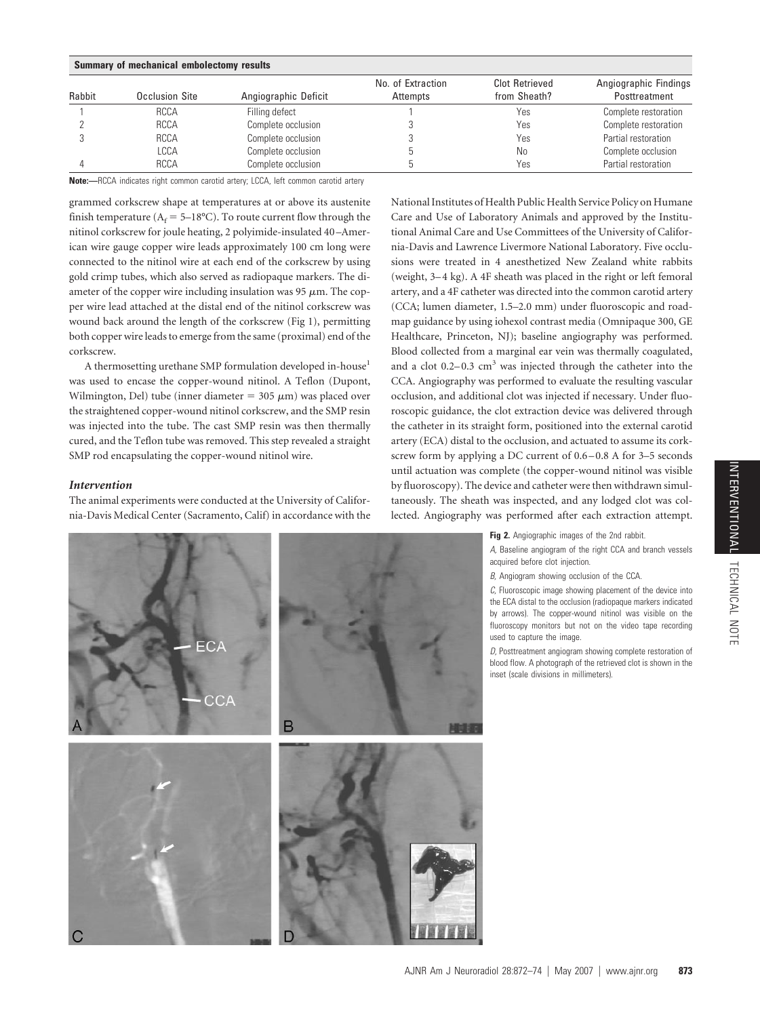| Summary of mechanical embolectomy results |                |                      |                               |                                |                                        |
|-------------------------------------------|----------------|----------------------|-------------------------------|--------------------------------|----------------------------------------|
| Rabbit                                    | Occlusion Site | Angiographic Deficit | No. of Extraction<br>Attempts | Clot Retrieved<br>from Sheath? | Angiographic Findings<br>Posttreatment |
|                                           | <b>RCCA</b>    | Filling defect       |                               | Yes                            | Complete restoration                   |
|                                           | <b>RCCA</b>    | Complete occlusion   |                               | Yes                            | Complete restoration                   |
|                                           | <b>RCCA</b>    | Complete occlusion   |                               | Yes                            | Partial restoration                    |
|                                           | LCCA           | Complete occlusion   |                               | No                             | Complete occlusion                     |
|                                           | <b>RCCA</b>    | Complete occlusion   |                               | Yes                            | Partial restoration                    |

**Note:—**RCCA indicates right common carotid artery; LCCA, left common carotid artery

grammed corkscrew shape at temperatures at or above its austenite finish temperature ( $A_f = 5-18$ °C). To route current flow through the nitinol corkscrew for joule heating, 2 polyimide-insulated 40 –American wire gauge copper wire leads approximately 100 cm long were connected to the nitinol wire at each end of the corkscrew by using gold crimp tubes, which also served as radiopaque markers. The diameter of the copper wire including insulation was 95  $\mu$ m. The copper wire lead attached at the distal end of the nitinol corkscrew was wound back around the length of the corkscrew (Fig 1), permitting both copper wire leads to emerge from the same (proximal) end of the corkscrew.

A thermosetting urethane SMP formulation developed in-house1 was used to encase the copper-wound nitinol. A Teflon (Dupont, Wilmington, Del) tube (inner diameter  $=$  305  $\mu$ m) was placed over the straightened copper-wound nitinol corkscrew, and the SMP resin was injected into the tube. The cast SMP resin was then thermally cured, and the Teflon tube was removed. This step revealed a straight SMP rod encapsulating the copper-wound nitinol wire.

## *Intervention*

The animal experiments were conducted at the University of California-Davis Medical Center (Sacramento, Calif) in accordance with the National Institutes of Health Public Health Service Policy on Humane Care and Use of Laboratory Animals and approved by the Institutional Animal Care and Use Committees of the University of California-Davis and Lawrence Livermore National Laboratory. Five occlusions were treated in 4 anesthetized New Zealand white rabbits (weight, 3– 4 kg). A 4F sheath was placed in the right or left femoral artery, and a 4F catheter was directed into the common carotid artery (CCA; lumen diameter, 1.5–2.0 mm) under fluoroscopic and roadmap guidance by using iohexol contrast media (Omnipaque 300, GE Healthcare, Princeton, NJ); baseline angiography was performed. Blood collected from a marginal ear vein was thermally coagulated, and a clot  $0.2-0.3$  cm<sup>3</sup> was injected through the catheter into the CCA. Angiography was performed to evaluate the resulting vascular occlusion, and additional clot was injected if necessary. Under fluoroscopic guidance, the clot extraction device was delivered through the catheter in its straight form, positioned into the external carotid artery (ECA) distal to the occlusion, and actuated to assume its corkscrew form by applying a DC current of  $0.6-0.8$  A for 3-5 seconds until actuation was complete (the copper-wound nitinol was visible by fluoroscopy). The device and catheter were then withdrawn simultaneously. The sheath was inspected, and any lodged clot was collected. Angiography was performed after each extraction attempt.



*B,* Angiogram showing occlusion of the CCA.

*C,* Fluoroscopic image showing placement of the device into the ECA distal to the occlusion (radiopaque markers indicated by arrows). The copper-wound nitinol was visible on the fluoroscopy monitors but not on the video tape recording used to capture the image.

*D,* Posttreatment angiogram showing complete restoration of blood flow. A photograph of the retrieved clot is shown in the inset (scale divisions in millimeters).